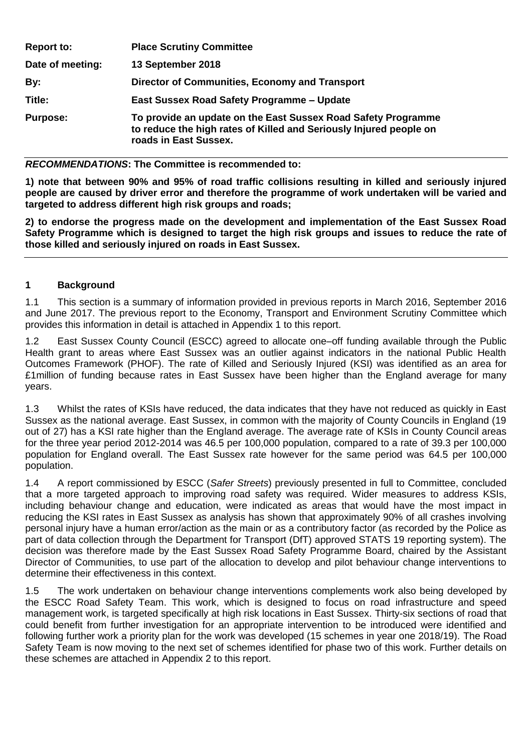| <b>Report to:</b> | <b>Place Scrutiny Committee</b>                                                                                                                              |
|-------------------|--------------------------------------------------------------------------------------------------------------------------------------------------------------|
| Date of meeting:  | 13 September 2018                                                                                                                                            |
| By:               | Director of Communities, Economy and Transport                                                                                                               |
| Title:            | East Sussex Road Safety Programme - Update                                                                                                                   |
| <b>Purpose:</b>   | To provide an update on the East Sussex Road Safety Programme<br>to reduce the high rates of Killed and Seriously Injured people on<br>roads in East Sussex. |

#### *RECOMMENDATIONS***: The Committee is recommended to:**

**1) note that between 90% and 95% of road traffic collisions resulting in killed and seriously injured people are caused by driver error and therefore the programme of work undertaken will be varied and targeted to address different high risk groups and roads;**

**2) to endorse the progress made on the development and implementation of the East Sussex Road Safety Programme which is designed to target the high risk groups and issues to reduce the rate of those killed and seriously injured on roads in East Sussex.**

### **1 Background**

1.1 This section is a summary of information provided in previous reports in March 2016, September 2016 and June 2017. The previous report to the Economy, Transport and Environment Scrutiny Committee which provides this information in detail is attached in Appendix 1 to this report.

1.2 East Sussex County Council (ESCC) agreed to allocate one–off funding available through the Public Health grant to areas where East Sussex was an outlier against indicators in the national Public Health Outcomes Framework (PHOF). The rate of Killed and Seriously Injured (KSI) was identified as an area for £1million of funding because rates in East Sussex have been higher than the England average for many years.

1.3 Whilst the rates of KSIs have reduced, the data indicates that they have not reduced as quickly in East Sussex as the national average. East Sussex, in common with the majority of County Councils in England (19 out of 27) has a KSI rate higher than the England average. The average rate of KSIs in County Council areas for the three year period 2012-2014 was 46.5 per 100,000 population, compared to a rate of 39.3 per 100,000 population for England overall. The East Sussex rate however for the same period was 64.5 per 100,000 population.

1.4 A report commissioned by ESCC (*Safer Streets*) previously presented in full to Committee, concluded that a more targeted approach to improving road safety was required. Wider measures to address KSIs, including behaviour change and education, were indicated as areas that would have the most impact in reducing the KSI rates in East Sussex as analysis has shown that approximately 90% of all crashes involving personal injury have a human error/action as the main or as a contributory factor (as recorded by the Police as part of data collection through the Department for Transport (DfT) approved STATS 19 reporting system). The decision was therefore made by the East Sussex Road Safety Programme Board, chaired by the Assistant Director of Communities, to use part of the allocation to develop and pilot behaviour change interventions to determine their effectiveness in this context.

1.5 The work undertaken on behaviour change interventions complements work also being developed by the ESCC Road Safety Team. This work, which is designed to focus on road infrastructure and speed management work, is targeted specifically at high risk locations in East Sussex. Thirty-six sections of road that could benefit from further investigation for an appropriate intervention to be introduced were identified and following further work a priority plan for the work was developed (15 schemes in year one 2018/19). The Road Safety Team is now moving to the next set of schemes identified for phase two of this work. Further details on these schemes are attached in Appendix 2 to this report.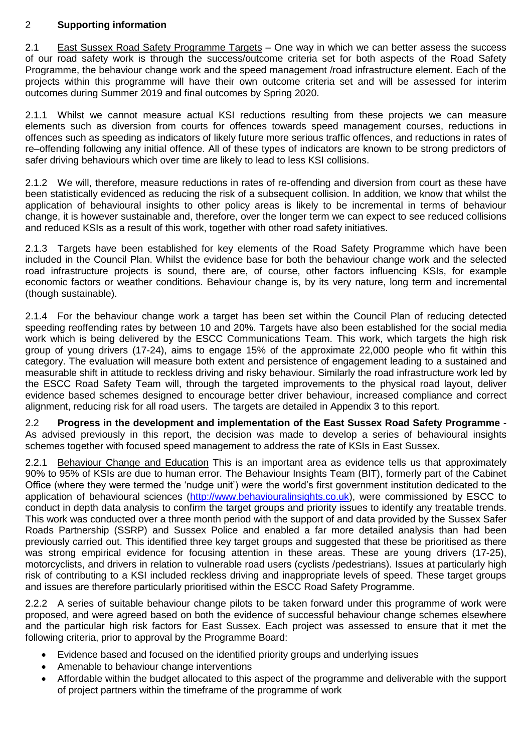# 2 **Supporting information**

2.1 East Sussex Road Safety Programme Targets – One way in which we can better assess the success of our road safety work is through the success/outcome criteria set for both aspects of the Road Safety Programme, the behaviour change work and the speed management /road infrastructure element. Each of the projects within this programme will have their own outcome criteria set and will be assessed for interim outcomes during Summer 2019 and final outcomes by Spring 2020.

2.1.1 Whilst we cannot measure actual KSI reductions resulting from these projects we can measure elements such as diversion from courts for offences towards speed management courses, reductions in offences such as speeding as indicators of likely future more serious traffic offences, and reductions in rates of re–offending following any initial offence. All of these types of indicators are known to be strong predictors of safer driving behaviours which over time are likely to lead to less KSI collisions.

2.1.2 We will, therefore, measure reductions in rates of re-offending and diversion from court as these have been statistically evidenced as reducing the risk of a subsequent collision. In addition, we know that whilst the application of behavioural insights to other policy areas is likely to be incremental in terms of behaviour change, it is however sustainable and, therefore, over the longer term we can expect to see reduced collisions and reduced KSIs as a result of this work, together with other road safety initiatives.

2.1.3 Targets have been established for key elements of the Road Safety Programme which have been included in the Council Plan. Whilst the evidence base for both the behaviour change work and the selected road infrastructure projects is sound, there are, of course, other factors influencing KSIs, for example economic factors or weather conditions. Behaviour change is, by its very nature, long term and incremental (though sustainable).

2.1.4 For the behaviour change work a target has been set within the Council Plan of reducing detected speeding reoffending rates by between 10 and 20%. Targets have also been established for the social media work which is being delivered by the ESCC Communications Team. This work, which targets the high risk group of young drivers (17-24), aims to engage 15% of the approximate 22,000 people who fit within this category. The evaluation will measure both extent and persistence of engagement leading to a sustained and measurable shift in attitude to reckless driving and risky behaviour. Similarly the road infrastructure work led by the ESCC Road Safety Team will, through the targeted improvements to the physical road layout, deliver evidence based schemes designed to encourage better driver behaviour, increased compliance and correct alignment, reducing risk for all road users. The targets are detailed in Appendix 3 to this report.

2.2 **Progress in the development and implementation of the East Sussex Road Safety Programme** - As advised previously in this report, the decision was made to develop a series of behavioural insights schemes together with focused speed management to address the rate of KSIs in East Sussex.

2.2.1 Behaviour Change and Education This is an important area as evidence tells us that approximately 90% to 95% of KSIs are due to human error. The Behaviour Insights Team (BIT), formerly part of the Cabinet Office (where they were termed the 'nudge unit') were the world's first government institution dedicated to the application of behavioural sciences [\(http://www.behaviouralinsights.co.uk\)](http://www.behaviouralinsights.co.uk/), were commissioned by ESCC to conduct in depth data analysis to confirm the target groups and priority issues to identify any treatable trends. This work was conducted over a three month period with the support of and data provided by the Sussex Safer Roads Partnership (SSRP) and Sussex Police and enabled a far more detailed analysis than had been previously carried out. This identified three key target groups and suggested that these be prioritised as there was strong empirical evidence for focusing attention in these areas. These are young drivers (17-25), motorcyclists, and drivers in relation to vulnerable road users (cyclists /pedestrians). Issues at particularly high risk of contributing to a KSI included reckless driving and inappropriate levels of speed. These target groups and issues are therefore particularly prioritised within the ESCC Road Safety Programme.

2.2.2 A series of suitable behaviour change pilots to be taken forward under this programme of work were proposed, and were agreed based on both the evidence of successful behaviour change schemes elsewhere and the particular high risk factors for East Sussex. Each project was assessed to ensure that it met the following criteria, prior to approval by the Programme Board:

- Evidence based and focused on the identified priority groups and underlying issues
- Amenable to behaviour change interventions
- Affordable within the budget allocated to this aspect of the programme and deliverable with the support of project partners within the timeframe of the programme of work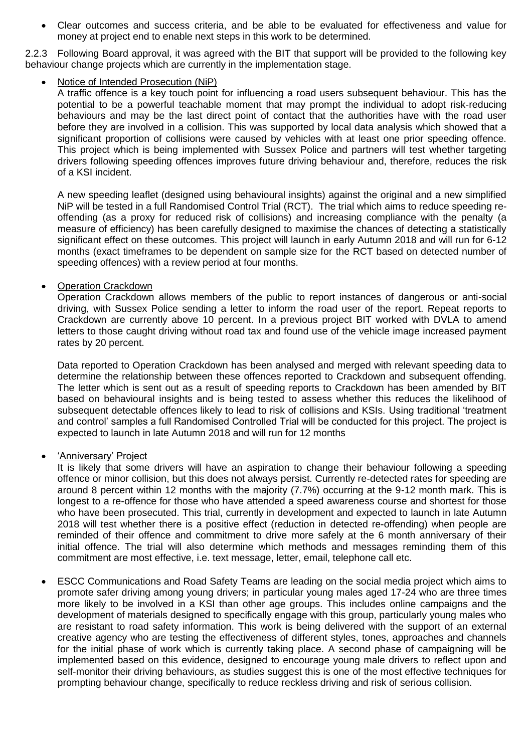Clear outcomes and success criteria, and be able to be evaluated for effectiveness and value for money at project end to enable next steps in this work to be determined.

2.2.3 Following Board approval, it was agreed with the BIT that support will be provided to the following key behaviour change projects which are currently in the implementation stage.

## Notice of Intended Prosecution (NiP)

A traffic offence is a key touch point for influencing a road users subsequent behaviour. This has the potential to be a powerful teachable moment that may prompt the individual to adopt risk-reducing behaviours and may be the last direct point of contact that the authorities have with the road user before they are involved in a collision. This was supported by local data analysis which showed that a significant proportion of collisions were caused by vehicles with at least one prior speeding offence. This project which is being implemented with Sussex Police and partners will test whether targeting drivers following speeding offences improves future driving behaviour and, therefore, reduces the risk of a KSI incident.

A new speeding leaflet (designed using behavioural insights) against the original and a new simplified NiP will be tested in a full Randomised Control Trial (RCT). The trial which aims to reduce speeding reoffending (as a proxy for reduced risk of collisions) and increasing compliance with the penalty (a measure of efficiency) has been carefully designed to maximise the chances of detecting a statistically significant effect on these outcomes. This project will launch in early Autumn 2018 and will run for 6-12 months (exact timeframes to be dependent on sample size for the RCT based on detected number of speeding offences) with a review period at four months.

### Operation Crackdown

Operation Crackdown allows members of the public to report instances of dangerous or anti-social driving, with Sussex Police sending a letter to inform the road user of the report. Repeat reports to Crackdown are currently above 10 percent. In a previous project BIT worked with DVLA to amend letters to those caught driving without road tax and found use of the vehicle image increased payment rates by 20 percent.

Data reported to Operation Crackdown has been analysed and merged with relevant speeding data to determine the relationship between these offences reported to Crackdown and subsequent offending. The letter which is sent out as a result of speeding reports to Crackdown has been amended by BIT based on behavioural insights and is being tested to assess whether this reduces the likelihood of subsequent detectable offences likely to lead to risk of collisions and KSIs. Using traditional 'treatment and control' samples a full Randomised Controlled Trial will be conducted for this project. The project is expected to launch in late Autumn 2018 and will run for 12 months

### 'Anniversary' Project

It is likely that some drivers will have an aspiration to change their behaviour following a speeding offence or minor collision, but this does not always persist. Currently re-detected rates for speeding are around 8 percent within 12 months with the majority (7.7%) occurring at the 9-12 month mark. This is longest to a re-offence for those who have attended a speed awareness course and shortest for those who have been prosecuted. This trial, currently in development and expected to launch in late Autumn 2018 will test whether there is a positive effect (reduction in detected re-offending) when people are reminded of their offence and commitment to drive more safely at the 6 month anniversary of their initial offence. The trial will also determine which methods and messages reminding them of this commitment are most effective, i.e. text message, letter, email, telephone call etc.

 ESCC Communications and Road Safety Teams are leading on the social media project which aims to promote safer driving among young drivers; in particular young males aged 17-24 who are three times more likely to be involved in a KSI than other age groups. This includes online campaigns and the development of materials designed to specifically engage with this group, particularly young males who are resistant to road safety information. This work is being delivered with the support of an external creative agency who are testing the effectiveness of different styles, tones, approaches and channels for the initial phase of work which is currently taking place. A second phase of campaigning will be implemented based on this evidence, designed to encourage young male drivers to reflect upon and self-monitor their driving behaviours, as studies suggest this is one of the most effective techniques for prompting behaviour change, specifically to reduce reckless driving and risk of serious collision.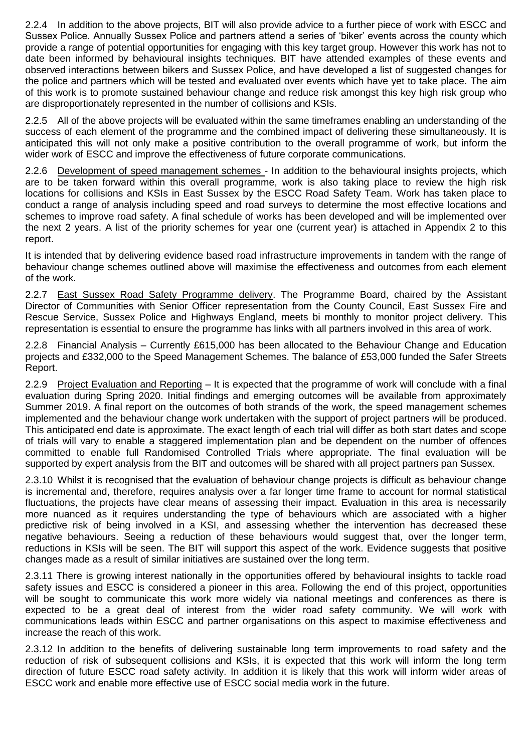2.2.4 In addition to the above projects, BIT will also provide advice to a further piece of work with ESCC and Sussex Police. Annually Sussex Police and partners attend a series of 'biker' events across the county which provide a range of potential opportunities for engaging with this key target group. However this work has not to date been informed by behavioural insights techniques. BIT have attended examples of these events and observed interactions between bikers and Sussex Police, and have developed a list of suggested changes for the police and partners which will be tested and evaluated over events which have yet to take place. The aim of this work is to promote sustained behaviour change and reduce risk amongst this key high risk group who are disproportionately represented in the number of collisions and KSIs.

2.2.5 All of the above projects will be evaluated within the same timeframes enabling an understanding of the success of each element of the programme and the combined impact of delivering these simultaneously. It is anticipated this will not only make a positive contribution to the overall programme of work, but inform the wider work of ESCC and improve the effectiveness of future corporate communications.

2.2.6 Development of speed management schemes - In addition to the behavioural insights projects, which are to be taken forward within this overall programme, work is also taking place to review the high risk locations for collisions and KSIs in East Sussex by the ESCC Road Safety Team. Work has taken place to conduct a range of analysis including speed and road surveys to determine the most effective locations and schemes to improve road safety. A final schedule of works has been developed and will be implemented over the next 2 years. A list of the priority schemes for year one (current year) is attached in Appendix 2 to this report.

It is intended that by delivering evidence based road infrastructure improvements in tandem with the range of behaviour change schemes outlined above will maximise the effectiveness and outcomes from each element of the work.

2.2.7 East Sussex Road Safety Programme delivery. The Programme Board, chaired by the Assistant Director of Communities with Senior Officer representation from the County Council, East Sussex Fire and Rescue Service, Sussex Police and Highways England, meets bi monthly to monitor project delivery. This representation is essential to ensure the programme has links with all partners involved in this area of work.

2.2.8 Financial Analysis – Currently £615,000 has been allocated to the Behaviour Change and Education projects and £332,000 to the Speed Management Schemes. The balance of £53,000 funded the Safer Streets Report.

2.2.9 Project Evaluation and Reporting – It is expected that the programme of work will conclude with a final evaluation during Spring 2020. Initial findings and emerging outcomes will be available from approximately Summer 2019. A final report on the outcomes of both strands of the work, the speed management schemes implemented and the behaviour change work undertaken with the support of project partners will be produced. This anticipated end date is approximate. The exact length of each trial will differ as both start dates and scope of trials will vary to enable a staggered implementation plan and be dependent on the number of offences committed to enable full Randomised Controlled Trials where appropriate. The final evaluation will be supported by expert analysis from the BIT and outcomes will be shared with all project partners pan Sussex.

2.3.10 Whilst it is recognised that the evaluation of behaviour change projects is difficult as behaviour change is incremental and, therefore, requires analysis over a far longer time frame to account for normal statistical fluctuations, the projects have clear means of assessing their impact. Evaluation in this area is necessarily more nuanced as it requires understanding the type of behaviours which are associated with a higher predictive risk of being involved in a KSI, and assessing whether the intervention has decreased these negative behaviours. Seeing a reduction of these behaviours would suggest that, over the longer term, reductions in KSIs will be seen. The BIT will support this aspect of the work. Evidence suggests that positive changes made as a result of similar initiatives are sustained over the long term.

2.3.11 There is growing interest nationally in the opportunities offered by behavioural insights to tackle road safety issues and ESCC is considered a pioneer in this area. Following the end of this project, opportunities will be sought to communicate this work more widely via national meetings and conferences as there is expected to be a great deal of interest from the wider road safety community. We will work with communications leads within ESCC and partner organisations on this aspect to maximise effectiveness and increase the reach of this work.

2.3.12 In addition to the benefits of delivering sustainable long term improvements to road safety and the reduction of risk of subsequent collisions and KSIs, it is expected that this work will inform the long term direction of future ESCC road safety activity. In addition it is likely that this work will inform wider areas of ESCC work and enable more effective use of ESCC social media work in the future.